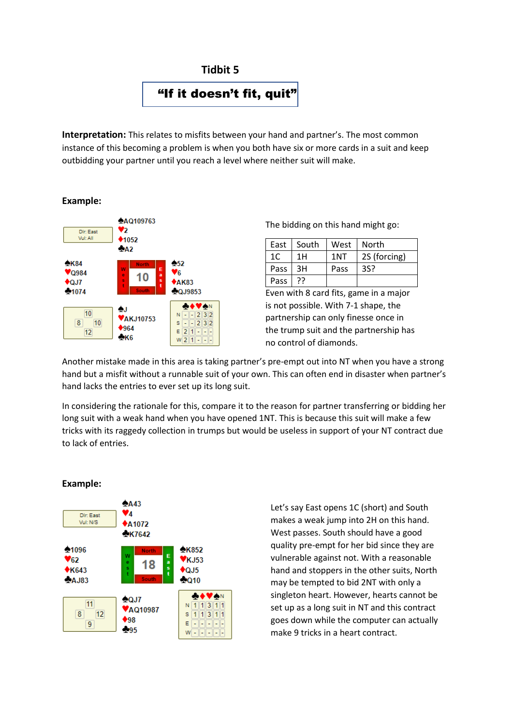

**Interpretation:** This relates to misfits between your hand and partner's. The most common instance of this becoming a problem is when you both have six or more cards in a suit and keep outbidding your partner until you reach a level where neither suit will make.

## **Example:**



The bidding on this hand might go:

| East | South | West | North        |
|------|-------|------|--------------|
| 1C   | 1H    | 1NT  | 2S (forcing) |
| Pass | 3H    | Pass | 3S?          |
| Pass | 77    |      |              |

Even with 8 card fits, game in a major is not possible. With 7-1 shape, the partnership can only finesse once in the trump suit and the partnership has no control of diamonds.

Another mistake made in this area is taking partner's pre-empt out into NT when you have a strong hand but a misfit without a runnable suit of your own. This can often end in disaster when partner's hand lacks the entries to ever set up its long suit.

In considering the rationale for this, compare it to the reason for partner transferring or bidding her long suit with a weak hand when you have opened 1NT. This is because this suit will make a few tricks with its raggedy collection in trumps but would be useless in support of your NT contract due to lack of entries.



**Example:**

Let's say East opens 1C (short) and South makes a weak jump into 2H on this hand. West passes. South should have a good quality pre-empt for her bid since they are vulnerable against not. With a reasonable hand and stoppers in the other suits, North may be tempted to bid 2NT with only a singleton heart. However, hearts cannot be set up as a long suit in NT and this contract goes down while the computer can actually make 9 tricks in a heart contract.